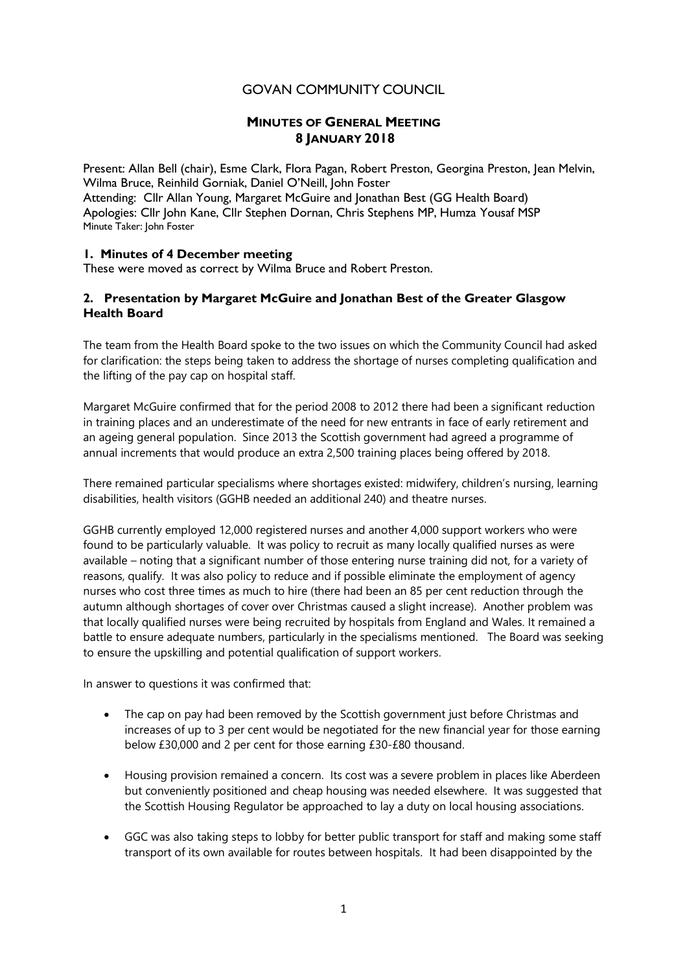# GOVAN COMMUNITY COUNCIL

# **MINUTES OF GENERAL MEETING 8 JANUARY 2018**

Present: Allan Bell (chair), Esme Clark, Flora Pagan, Robert Preston, Georgina Preston, Jean Melvin, Wilma Bruce, Reinhild Gorniak, Daniel O'Neill, John Foster Attending: Cllr Allan Young, Margaret McGuire and Jonathan Best (GG Health Board) Apologies: Cllr John Kane, Cllr Stephen Dornan, Chris Stephens MP, Humza Yousaf MSP Minute Taker: John Foster

### **1. Minutes of 4 December meeting**

These were moved as correct by Wilma Bruce and Robert Preston.

# **2. Presentation by Margaret McGuire and Jonathan Best of the Greater Glasgow Health Board**

The team from the Health Board spoke to the two issues on which the Community Council had asked for clarification: the steps being taken to address the shortage of nurses completing qualification and the lifting of the pay cap on hospital staff.

Margaret McGuire confirmed that for the period 2008 to 2012 there had been a significant reduction in training places and an underestimate of the need for new entrants in face of early retirement and an ageing general population. Since 2013 the Scottish government had agreed a programme of annual increments that would produce an extra 2,500 training places being offered by 2018.

There remained particular specialisms where shortages existed: midwifery, children's nursing, learning disabilities, health visitors (GGHB needed an additional 240) and theatre nurses.

GGHB currently employed 12,000 registered nurses and another 4,000 support workers who were found to be particularly valuable. It was policy to recruit as many locally qualified nurses as were available – noting that a significant number of those entering nurse training did not, for a variety of reasons, qualify. It was also policy to reduce and if possible eliminate the employment of agency nurses who cost three times as much to hire (there had been an 85 per cent reduction through the autumn although shortages of cover over Christmas caused a slight increase). Another problem was that locally qualified nurses were being recruited by hospitals from England and Wales. It remained a battle to ensure adequate numbers, particularly in the specialisms mentioned. The Board was seeking to ensure the upskilling and potential qualification of support workers.

In answer to questions it was confirmed that:

- The cap on pay had been removed by the Scottish government just before Christmas and increases of up to 3 per cent would be negotiated for the new financial year for those earning below £30,000 and 2 per cent for those earning £30-£80 thousand.
- Housing provision remained a concern. Its cost was a severe problem in places like Aberdeen but conveniently positioned and cheap housing was needed elsewhere. It was suggested that the Scottish Housing Regulator be approached to lay a duty on local housing associations.
- GGC was also taking steps to lobby for better public transport for staff and making some staff transport of its own available for routes between hospitals. It had been disappointed by the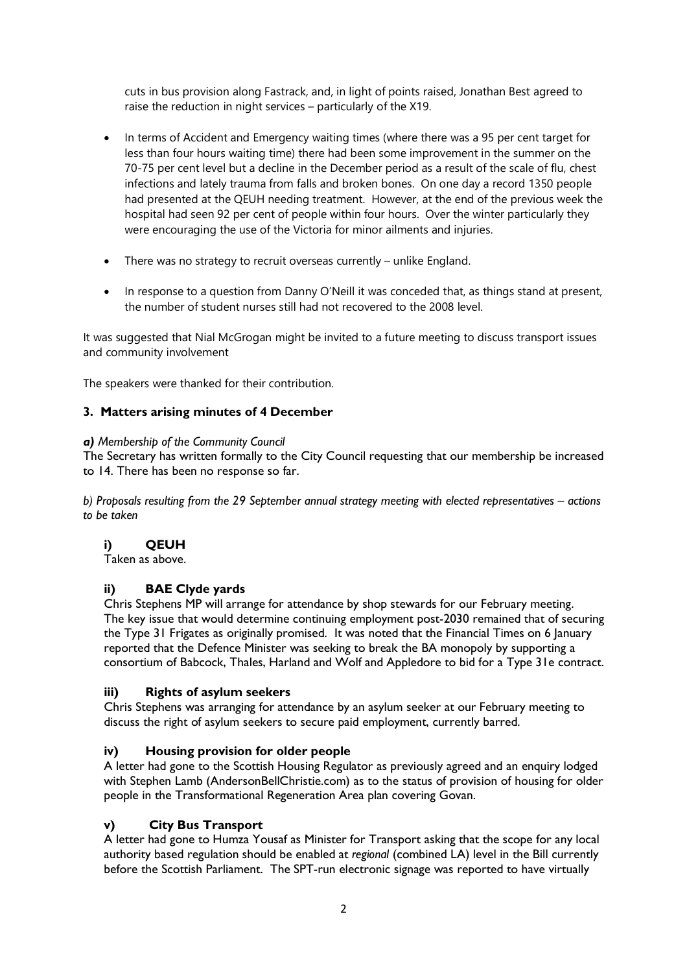cuts in bus provision along Fastrack, and, in light of points raised, Jonathan Best agreed to raise the reduction in night services – particularly of the X19.

- In terms of Accident and Emergency waiting times (where there was a 95 per cent target for less than four hours waiting time) there had been some improvement in the summer on the 70-75 per cent level but a decline in the December period as a result of the scale of flu, chest infections and lately trauma from falls and broken bones. On one day a record 1350 people had presented at the QEUH needing treatment. However, at the end of the previous week the hospital had seen 92 per cent of people within four hours. Over the winter particularly they were encouraging the use of the Victoria for minor ailments and injuries.
- There was no strategy to recruit overseas currently unlike England.
- In response to a question from Danny O'Neill it was conceded that, as things stand at present, the number of student nurses still had not recovered to the 2008 level.

It was suggested that Nial McGrogan might be invited to a future meeting to discuss transport issues and community involvement

The speakers were thanked for their contribution.

### **3. Matters arising minutes of 4 December**

#### *a) Membership of the Community Council*

The Secretary has written formally to the City Council requesting that our membership be increased to 14. There has been no response so far.

*b) Proposals resulting from the 29 September annual strategy meeting with elected representatives – actions to be taken*

### **i) QEUH**

Taken as above.

### **ii) BAE Clyde yards**

Chris Stephens MP will arrange for attendance by shop stewards for our February meeting. The key issue that would determine continuing employment post-2030 remained that of securing the Type 31 Frigates as originally promised. It was noted that the Financial Times on 6 January reported that the Defence Minister was seeking to break the BA monopoly by supporting a consortium of Babcock, Thales, Harland and Wolf and Appledore to bid for a Type 31e contract.

### **iii) Rights of asylum seekers**

Chris Stephens was arranging for attendance by an asylum seeker at our February meeting to discuss the right of asylum seekers to secure paid employment, currently barred.

### **iv) Housing provision for older people**

A letter had gone to the Scottish Housing Regulator as previously agreed and an enquiry lodged with Stephen Lamb (AndersonBellChristie.com) as to the status of provision of housing for older people in the Transformational Regeneration Area plan covering Govan.

### **v) City Bus Transport**

A letter had gone to Humza Yousaf as Minister for Transport asking that the scope for any local authority based regulation should be enabled at *regional* (combined LA) level in the Bill currently before the Scottish Parliament. The SPT-run electronic signage was reported to have virtually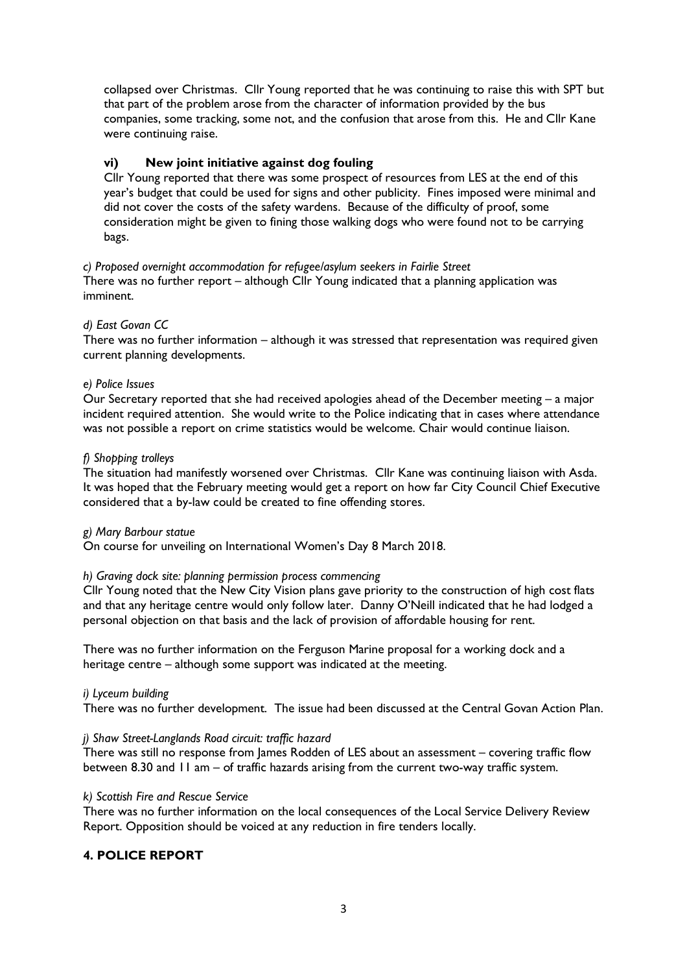collapsed over Christmas. Cllr Young reported that he was continuing to raise this with SPT but that part of the problem arose from the character of information provided by the bus companies, some tracking, some not, and the confusion that arose from this. He and Cllr Kane were continuing raise.

# **vi) New joint initiative against dog fouling**

Cllr Young reported that there was some prospect of resources from LES at the end of this year's budget that could be used for signs and other publicity. Fines imposed were minimal and did not cover the costs of the safety wardens. Because of the difficulty of proof, some consideration might be given to fining those walking dogs who were found not to be carrying bags.

# *c) Proposed overnight accommodation for refugee/asylum seekers in Fairlie Street*

There was no further report – although Cllr Young indicated that a planning application was imminent.

# *d) East Govan CC*

There was no further information – although it was stressed that representation was required given current planning developments.

### *e) Police Issues*

Our Secretary reported that she had received apologies ahead of the December meeting – a major incident required attention. She would write to the Police indicating that in cases where attendance was not possible a report on crime statistics would be welcome. Chair would continue liaison.

### *f) Shopping trolleys*

The situation had manifestly worsened over Christmas. Cllr Kane was continuing liaison with Asda. It was hoped that the February meeting would get a report on how far City Council Chief Executive considered that a by-law could be created to fine offending stores.

### *g) Mary Barbour statue*

On course for unveiling on International Women's Day 8 March 2018.

### *h) Graving dock site: planning permission process commencing*

Cllr Young noted that the New City Vision plans gave priority to the construction of high cost flats and that any heritage centre would only follow later. Danny O'Neill indicated that he had lodged a personal objection on that basis and the lack of provision of affordable housing for rent.

There was no further information on the Ferguson Marine proposal for a working dock and a heritage centre – although some support was indicated at the meeting.

### *i) Lyceum building*

There was no further development. The issue had been discussed at the Central Govan Action Plan.

### *j) Shaw Street-Langlands Road circuit: traffic hazard*

There was still no response from James Rodden of LES about an assessment – covering traffic flow between 8.30 and 11 am – of traffic hazards arising from the current two-way traffic system.

### *k) Scottish Fire and Rescue Service*

There was no further information on the local consequences of the Local Service Delivery Review Report. Opposition should be voiced at any reduction in fire tenders locally.

# **4. POLICE REPORT**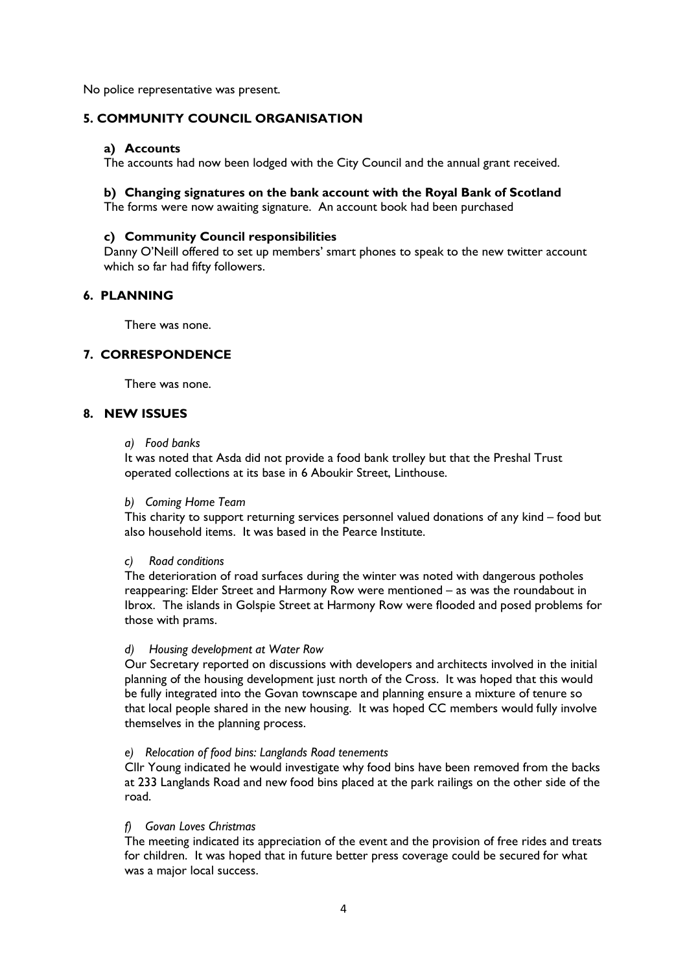No police representative was present.

# **5. COMMUNITY COUNCIL ORGANISATION**

### **a) Accounts**

The accounts had now been lodged with the City Council and the annual grant received.

### **b) Changing signatures on the bank account with the Royal Bank of Scotland**

The forms were now awaiting signature. An account book had been purchased

### **c) Community Council responsibilities**

Danny O'Neill offered to set up members' smart phones to speak to the new twitter account which so far had fifty followers.

### **6. PLANNING**

There was none.

# **7. CORRESPONDENCE**

There was none.

# **8. NEW ISSUES**

*a) Food banks*

It was noted that Asda did not provide a food bank trolley but that the Preshal Trust operated collections at its base in 6 Aboukir Street, Linthouse.

#### *b) Coming Home Team*

This charity to support returning services personnel valued donations of any kind – food but also household items. It was based in the Pearce Institute.

### *c) Road conditions*

The deterioration of road surfaces during the winter was noted with dangerous potholes reappearing: Elder Street and Harmony Row were mentioned – as was the roundabout in Ibrox. The islands in Golspie Street at Harmony Row were flooded and posed problems for those with prams.

### *d) Housing development at Water Row*

Our Secretary reported on discussions with developers and architects involved in the initial planning of the housing development just north of the Cross. It was hoped that this would be fully integrated into the Govan townscape and planning ensure a mixture of tenure so that local people shared in the new housing. It was hoped CC members would fully involve themselves in the planning process.

### *e) Relocation of food bins: Langlands Road tenements*

Cllr Young indicated he would investigate why food bins have been removed from the backs at 233 Langlands Road and new food bins placed at the park railings on the other side of the road.

### *f) Govan Loves Christmas*

The meeting indicated its appreciation of the event and the provision of free rides and treats for children. It was hoped that in future better press coverage could be secured for what was a major local success.